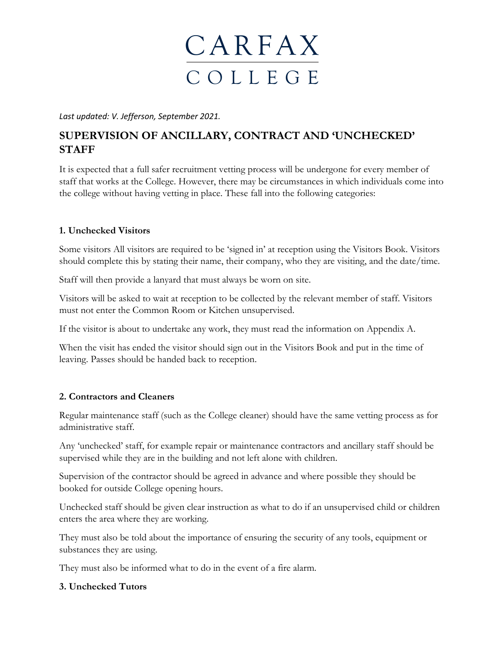

*Last updated: V. Jefferson, September 2021.* 

### **SUPERVISION OF ANCILLARY, CONTRACT AND 'UNCHECKED' STAFF**

It is expected that a full safer recruitment vetting process will be undergone for every member of staff that works at the College. However, there may be circumstances in which individuals come into the college without having vetting in place. These fall into the following categories:

#### **1. Unchecked Visitors**

Some visitors All visitors are required to be 'signed in' at reception using the Visitors Book. Visitors should complete this by stating their name, their company, who they are visiting, and the date/time.

Staff will then provide a lanyard that must always be worn on site.

Visitors will be asked to wait at reception to be collected by the relevant member of staff. Visitors must not enter the Common Room or Kitchen unsupervised.

If the visitor is about to undertake any work, they must read the information on Appendix A.

When the visit has ended the visitor should sign out in the Visitors Book and put in the time of leaving. Passes should be handed back to reception.

#### **2. Contractors and Cleaners**

Regular maintenance staff (such as the College cleaner) should have the same vetting process as for administrative staff.

Any 'unchecked' staff, for example repair or maintenance contractors and ancillary staff should be supervised while they are in the building and not left alone with children.

Supervision of the contractor should be agreed in advance and where possible they should be booked for outside College opening hours.

Unchecked staff should be given clear instruction as what to do if an unsupervised child or children enters the area where they are working.

They must also be told about the importance of ensuring the security of any tools, equipment or substances they are using.

They must also be informed what to do in the event of a fire alarm.

#### **3. Unchecked Tutors**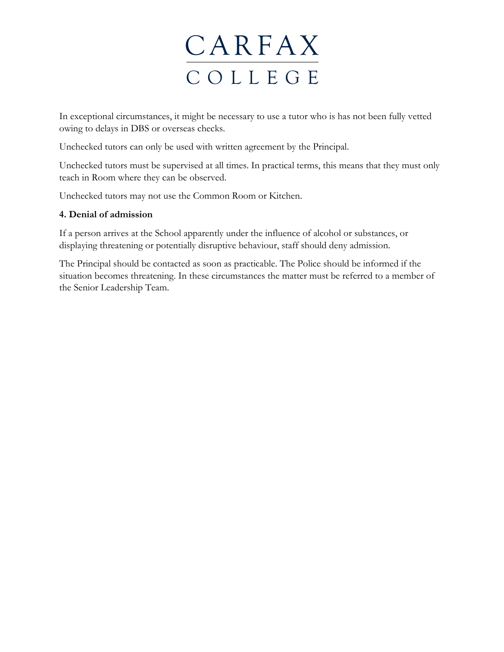# **CARFAX** C O L L E G E

In exceptional circumstances, it might be necessary to use a tutor who is has not been fully vetted owing to delays in DBS or overseas checks.

Unchecked tutors can only be used with written agreement by the Principal.

Unchecked tutors must be supervised at all times. In practical terms, this means that they must only teach in Room where they can be observed.

Unchecked tutors may not use the Common Room or Kitchen.

#### **4. Denial of admission**

If a person arrives at the School apparently under the influence of alcohol or substances, or displaying threatening or potentially disruptive behaviour, staff should deny admission.

The Principal should be contacted as soon as practicable. The Police should be informed if the situation becomes threatening. In these circumstances the matter must be referred to a member of the Senior Leadership Team.